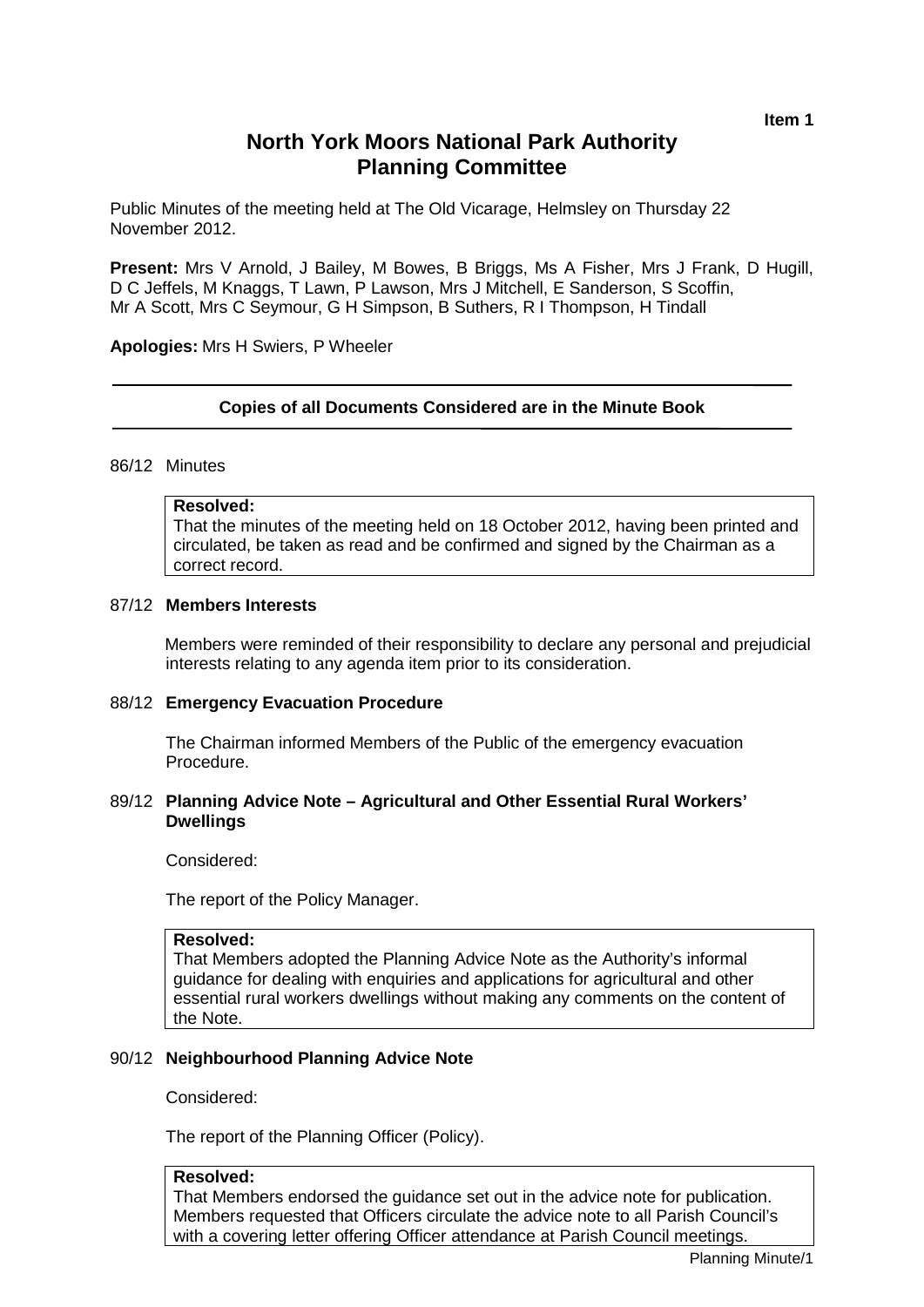# **North York Moors National Park Authority Planning Committee**

Public Minutes of the meeting held at The Old Vicarage, Helmsley on Thursday 22 November 2012.

**Present:** Mrs V Arnold, J Bailey, M Bowes, B Briggs, Ms A Fisher, Mrs J Frank, D Hugill, D C Jeffels, M Knaggs, T Lawn, P Lawson, Mrs J Mitchell, E Sanderson, S Scoffin, Mr A Scott, Mrs C Seymour, G H Simpson, B Suthers, R I Thompson, H Tindall

#### **Apologies:** Mrs H Swiers, P Wheeler

#### **Copies of all Documents Considered are in the Minute Book**

#### 86/12 Minutes

## **Resolved:**

That the minutes of the meeting held on 18 October 2012, having been printed and circulated, be taken as read and be confirmed and signed by the Chairman as a correct record.

#### 87/12 **Members Interests**

Members were reminded of their responsibility to declare any personal and prejudicial interests relating to any agenda item prior to its consideration.

#### 88/12 **Emergency Evacuation Procedure**

The Chairman informed Members of the Public of the emergency evacuation Procedure.

## 89/12 **Planning Advice Note – Agricultural and Other Essential Rural Workers' Dwellings**

Considered:

The report of the Policy Manager.

## **Resolved:**

That Members adopted the Planning Advice Note as the Authority's informal guidance for dealing with enquiries and applications for agricultural and other essential rural workers dwellings without making any comments on the content of the Note.

#### 90/12 **Neighbourhood Planning Advice Note**

Considered:

The report of the Planning Officer (Policy).

## **Resolved:**

That Members endorsed the guidance set out in the advice note for publication. Members requested that Officers circulate the advice note to all Parish Council's with a covering letter offering Officer attendance at Parish Council meetings.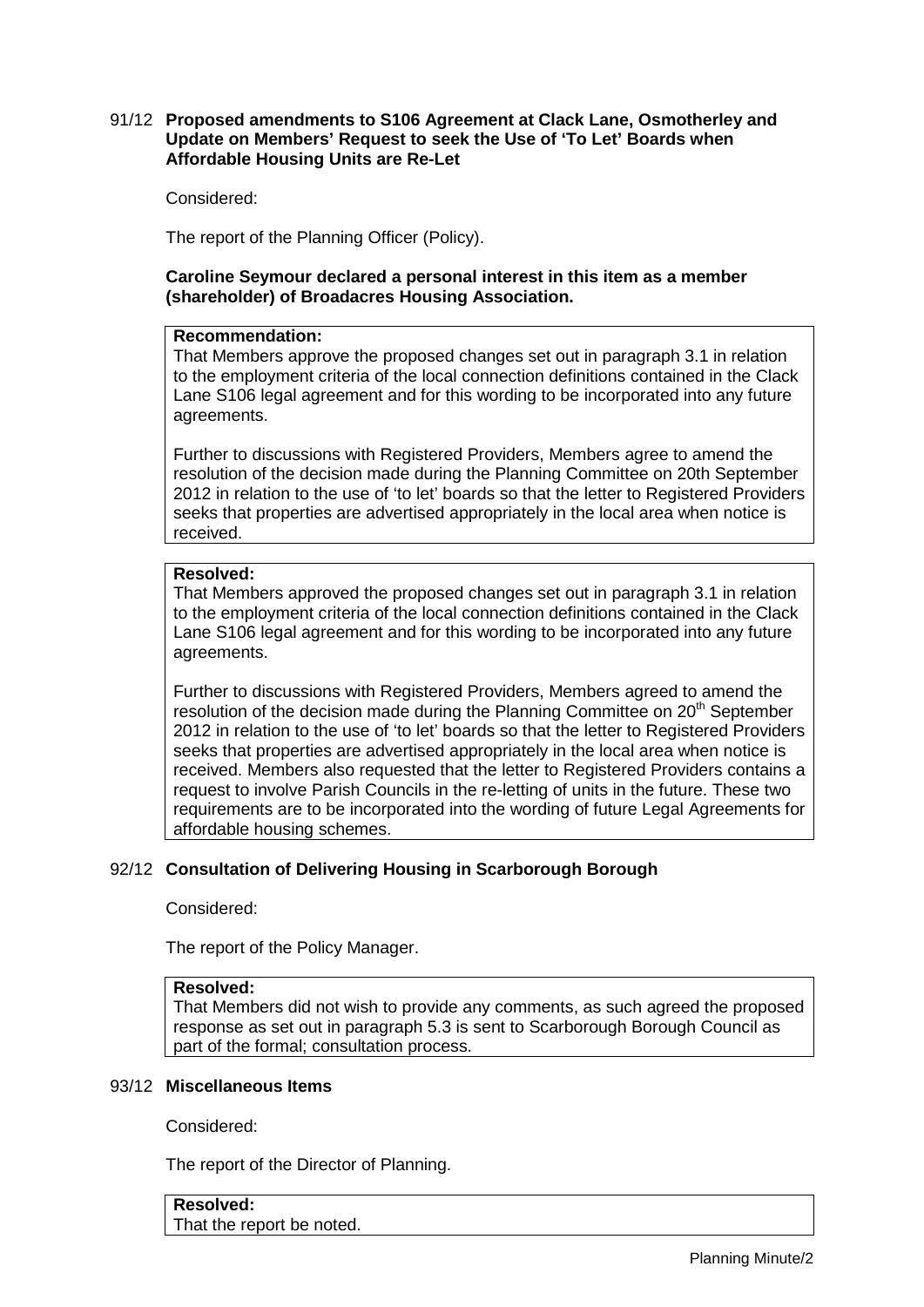## 91/12 **Proposed amendments to S106 Agreement at Clack Lane, Osmotherley and Update on Members' Request to seek the Use of 'To Let' Boards when Affordable Housing Units are Re-Let**

Considered:

The report of the Planning Officer (Policy).

# **Caroline Seymour declared a personal interest in this item as a member (shareholder) of Broadacres Housing Association.**

## **Recommendation:**

That Members approve the proposed changes set out in paragraph 3.1 in relation to the employment criteria of the local connection definitions contained in the Clack Lane S106 legal agreement and for this wording to be incorporated into any future agreements.

Further to discussions with Registered Providers, Members agree to amend the resolution of the decision made during the Planning Committee on 20th September 2012 in relation to the use of 'to let' boards so that the letter to Registered Providers seeks that properties are advertised appropriately in the local area when notice is received.

# **Resolved:**

That Members approved the proposed changes set out in paragraph 3.1 in relation to the employment criteria of the local connection definitions contained in the Clack Lane S106 legal agreement and for this wording to be incorporated into any future agreements.

Further to discussions with Registered Providers, Members agreed to amend the resolution of the decision made during the Planning Committee on 20<sup>th</sup> September 2012 in relation to the use of 'to let' boards so that the letter to Registered Providers seeks that properties are advertised appropriately in the local area when notice is received. Members also requested that the letter to Registered Providers contains a request to involve Parish Councils in the re-letting of units in the future. These two requirements are to be incorporated into the wording of future Legal Agreements for affordable housing schemes.

# 92/12 **Consultation of Delivering Housing in Scarborough Borough**

Considered:

The report of the Policy Manager.

## **Resolved:**

That Members did not wish to provide any comments, as such agreed the proposed response as set out in paragraph 5.3 is sent to Scarborough Borough Council as part of the formal; consultation process.

# 93/12 **Miscellaneous Items**

Considered:

The report of the Director of Planning.

# **Resolved:**

That the report be noted.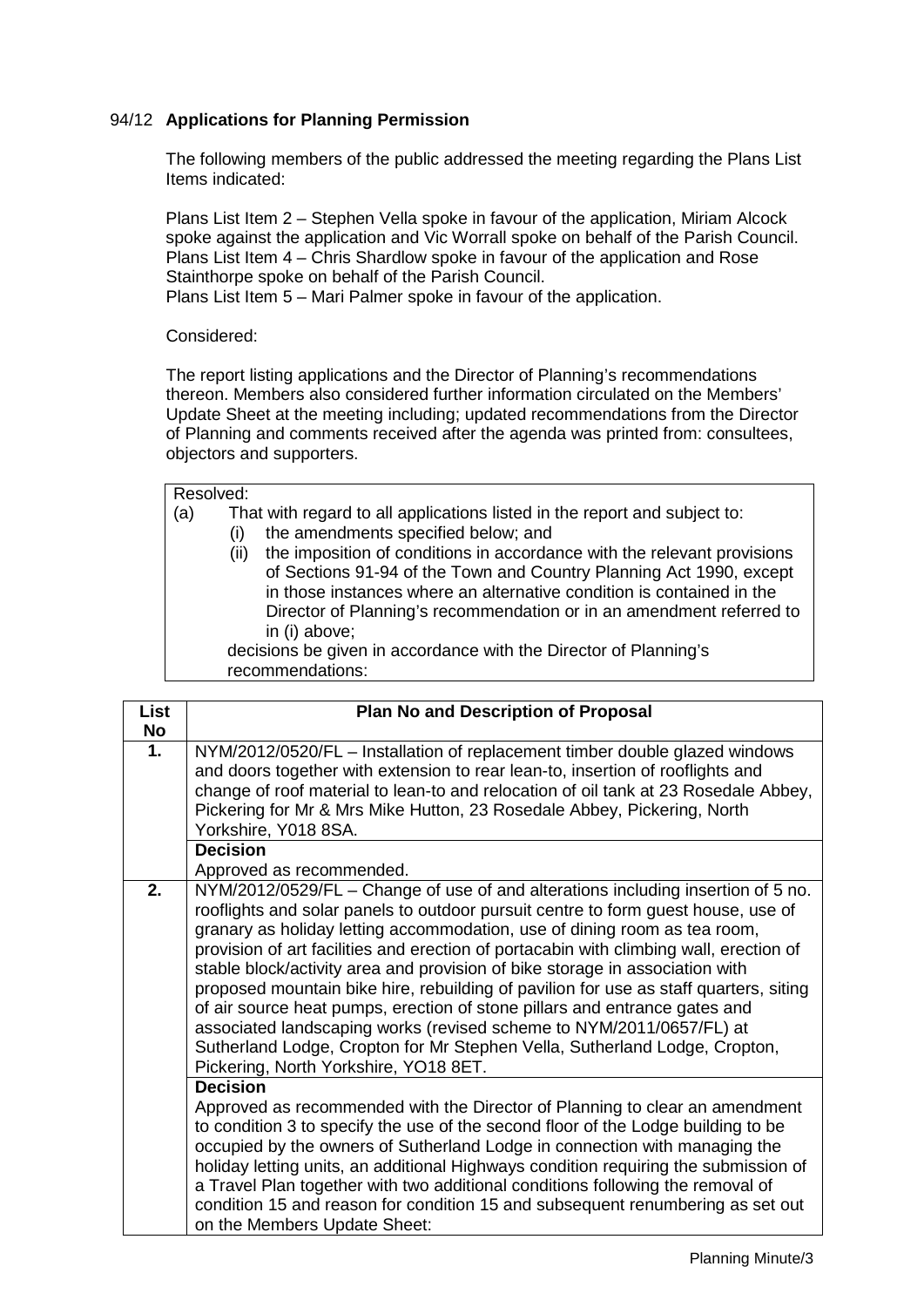# 94/12 **Applications for Planning Permission**

The following members of the public addressed the meeting regarding the Plans List Items indicated:

Plans List Item 2 – Stephen Vella spoke in favour of the application, Miriam Alcock spoke against the application and Vic Worrall spoke on behalf of the Parish Council. Plans List Item 4 – Chris Shardlow spoke in favour of the application and Rose Stainthorpe spoke on behalf of the Parish Council.

Plans List Item 5 – Mari Palmer spoke in favour of the application.

## Considered:

The report listing applications and the Director of Planning's recommendations thereon. Members also considered further information circulated on the Members' Update Sheet at the meeting including; updated recommendations from the Director of Planning and comments received after the agenda was printed from: consultees, objectors and supporters.

#### Resolved:

- (a) That with regard to all applications listed in the report and subject to:
	- (i) the amendments specified below; and
		- (ii) the imposition of conditions in accordance with the relevant provisions of Sections 91-94 of the Town and Country Planning Act 1990, except in those instances where an alternative condition is contained in the Director of Planning's recommendation or in an amendment referred to in (i) above;

decisions be given in accordance with the Director of Planning's recommendations:

| <b>List</b> | <b>Plan No and Description of Proposal</b>                                                                                                                                                                                                                                                                                                                                                                                                                                                                                                                                                                                                                                                                                                                                                         |
|-------------|----------------------------------------------------------------------------------------------------------------------------------------------------------------------------------------------------------------------------------------------------------------------------------------------------------------------------------------------------------------------------------------------------------------------------------------------------------------------------------------------------------------------------------------------------------------------------------------------------------------------------------------------------------------------------------------------------------------------------------------------------------------------------------------------------|
| <b>No</b>   |                                                                                                                                                                                                                                                                                                                                                                                                                                                                                                                                                                                                                                                                                                                                                                                                    |
| 1.          | NYM/2012/0520/FL – Installation of replacement timber double glazed windows<br>and doors together with extension to rear lean-to, insertion of rooflights and<br>change of roof material to lean-to and relocation of oil tank at 23 Rosedale Abbey,<br>Pickering for Mr & Mrs Mike Hutton, 23 Rosedale Abbey, Pickering, North<br>Yorkshire, Y018 8SA.                                                                                                                                                                                                                                                                                                                                                                                                                                            |
|             | <b>Decision</b>                                                                                                                                                                                                                                                                                                                                                                                                                                                                                                                                                                                                                                                                                                                                                                                    |
|             | Approved as recommended.                                                                                                                                                                                                                                                                                                                                                                                                                                                                                                                                                                                                                                                                                                                                                                           |
| 2.          | NYM/2012/0529/FL - Change of use of and alterations including insertion of 5 no.<br>rooflights and solar panels to outdoor pursuit centre to form guest house, use of<br>granary as holiday letting accommodation, use of dining room as tea room,<br>provision of art facilities and erection of portacabin with climbing wall, erection of<br>stable block/activity area and provision of bike storage in association with<br>proposed mountain bike hire, rebuilding of pavilion for use as staff quarters, siting<br>of air source heat pumps, erection of stone pillars and entrance gates and<br>associated landscaping works (revised scheme to NYM/2011/0657/FL) at<br>Sutherland Lodge, Cropton for Mr Stephen Vella, Sutherland Lodge, Cropton,<br>Pickering, North Yorkshire, YO18 8ET. |
|             | <b>Decision</b><br>Approved as recommended with the Director of Planning to clear an amendment<br>to condition 3 to specify the use of the second floor of the Lodge building to be<br>occupied by the owners of Sutherland Lodge in connection with managing the<br>holiday letting units, an additional Highways condition requiring the submission of<br>a Travel Plan together with two additional conditions following the removal of<br>condition 15 and reason for condition 15 and subsequent renumbering as set out<br>on the Members Update Sheet:                                                                                                                                                                                                                                       |